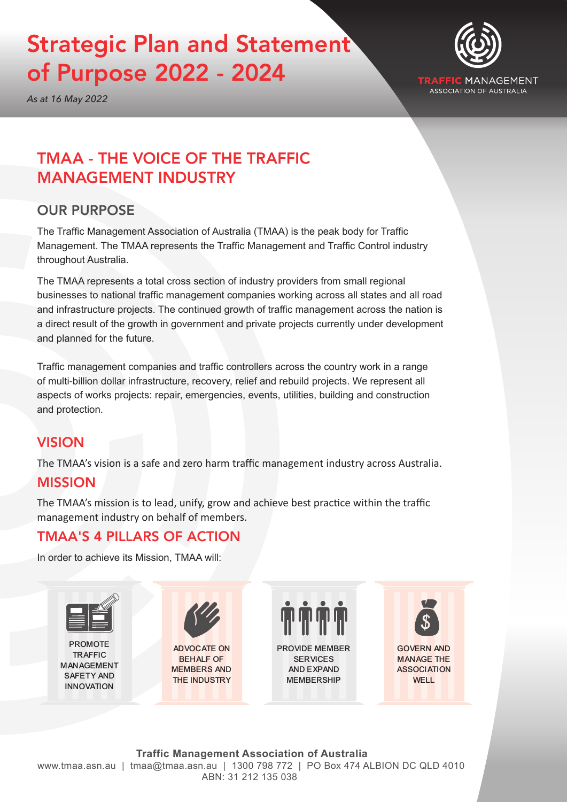# Strategic Plan and Statement of Purpose 2022 - 2024



MANAGEMENT **ASSOCIATION OF AUSTRALIA** 

*As at 16 May 2022*

# TMAA - THE VOICE OF THE TRAFFIC MANAGEMENT INDUSTRY

# OUR PURPOSE

The Traffic Management Association of Australia (TMAA) is the peak body for Traffic Management. The TMAA represents the Traffic Management and Traffic Control industry throughout Australia.

The TMAA represents a total cross section of industry providers from small regional businesses to national traffic management companies working across all states and all road and infrastructure projects. The continued growth of traffic management across the nation is a direct result of the growth in government and private projects currently under development and planned for the future.

Traffic management companies and traffic controllers across the country work in a range of multi-billion dollar infrastructure, recovery, relief and rebuild projects. We represent all aspects of works projects: repair, emergencies, events, utilities, building and construction and protection.

# VISION

The TMAA's vision is a safe and zero harm traffic management industry across Australia.

### MISSION

The TMAA's mission is to lead, unify, grow and achieve best practice within the traffic management industry on behalf of members.

# TMAA'S 4 PILLARS OF ACTION

In order to achieve its Mission, TMAA will: